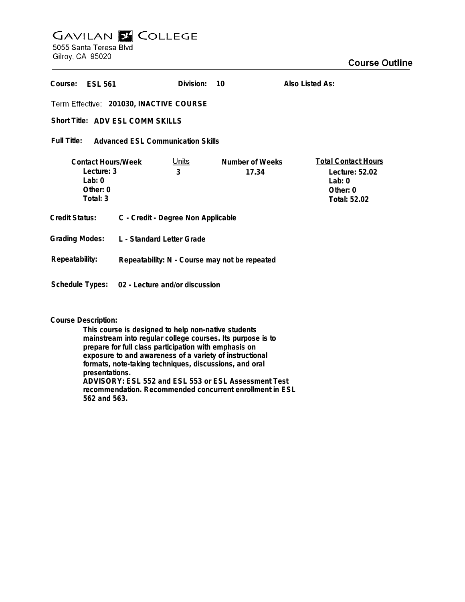# **GAVILAN Z COLLEGE** 5055 Santa Teresa Blvd

Gilroy, CA 95020

| Course:<br><b>FSI 561</b>                                                     |                                               | Division:                          | 10                       | Also Listed As:                                                                      |  |
|-------------------------------------------------------------------------------|-----------------------------------------------|------------------------------------|--------------------------|--------------------------------------------------------------------------------------|--|
| Term Effective: 201030, INACTIVE COURSE                                       |                                               |                                    |                          |                                                                                      |  |
| Short Title: ADV ESL COMM SKILLS                                              |                                               |                                    |                          |                                                                                      |  |
| Full Title:<br><b>Advanced ESL Communication Skills</b>                       |                                               |                                    |                          |                                                                                      |  |
| <b>Contact Hours/Week</b><br>Lecture: 3<br>Lab: $0$<br>Other: $0$<br>Total: 3 |                                               | <u>Units</u><br>3                  | Number of Weeks<br>17.34 | <b>Total Contact Hours</b><br>Lecture: 52.02<br>Lab: $0$<br>Other: 0<br>Total: 52.02 |  |
| <b>Credit Status:</b>                                                         |                                               | C - Credit - Degree Non Applicable |                          |                                                                                      |  |
| <b>Grading Modes:</b><br>L - Standard Letter Grade                            |                                               |                                    |                          |                                                                                      |  |
| Repeatability:                                                                | Repeatability: N - Course may not be repeated |                                    |                          |                                                                                      |  |
| Schedule Types: 02 - Lecture and/or discussion                                |                                               |                                    |                          |                                                                                      |  |

## **Course Description:**

**This course is designed to help non-native students mainstream into regular college courses. Its purpose is to prepare for full class participation with emphasis on exposure to and awareness of a variety of instructional formats, note-taking techniques, discussions, and oral presentations. ADVISORY: ESL 552 and ESL 553 or ESL Assessment Test recommendation. Recommended concurrent enrollment in ESL 562 and 563.**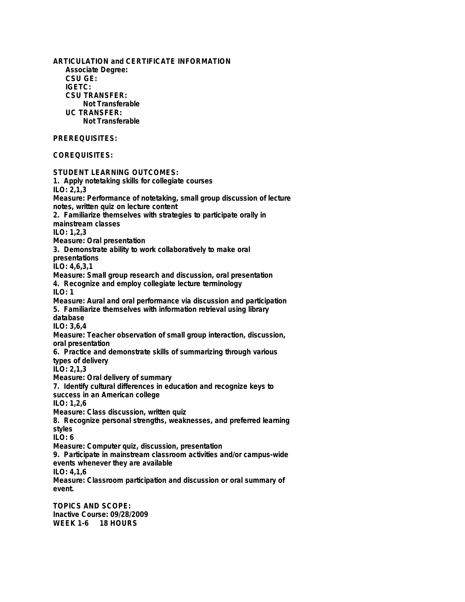**ARTICULATION and CERTIFICATE INFORMATION Associate Degree: CSU GE: IGETC: CSU TRANSFER: Not Transferable UC TRANSFER: Not Transferable PREREQUISITES: COREQUISITES: STUDENT LEARNING OUTCOMES: 1. Apply notetaking skills for collegiate courses ILO: 2,1,3 Measure: Performance of notetaking, small group discussion of lecture notes, written quiz on lecture content 2. Familiarize themselves with strategies to participate orally in mainstream classes ILO: 1,2,3 Measure: Oral presentation 3. Demonstrate ability to work collaboratively to make oral presentations ILO: 4,6,3,1 Measure: Small group research and discussion, oral presentation 4. Recognize and employ collegiate lecture terminology ILO: 1 Measure: Aural and oral performance via discussion and participation 5. Familiarize themselves with information retrieval using library database ILO: 3,6,4 Measure: Teacher observation of small group interaction, discussion, oral presentation 6. Practice and demonstrate skills of summarizing through various types of delivery ILO: 2,1,3 Measure: Oral delivery of summary 7. Identify cultural differences in education and recognize keys to success in an American college ILO: 1,2,6 Measure: Class discussion, written quiz 8. Recognize personal strengths, weaknesses, and preferred learning styles ILO: 6 Measure: Computer quiz, discussion, presentation 9. Participate in mainstream classroom activities and/or campus-wide events whenever they are available ILO: 4,1,6 Measure: Classroom participation and discussion or oral summary of event. TOPICS AND SCOPE: Inactive Course: 09/28/2009 WEEK 1-6 18 HOURS**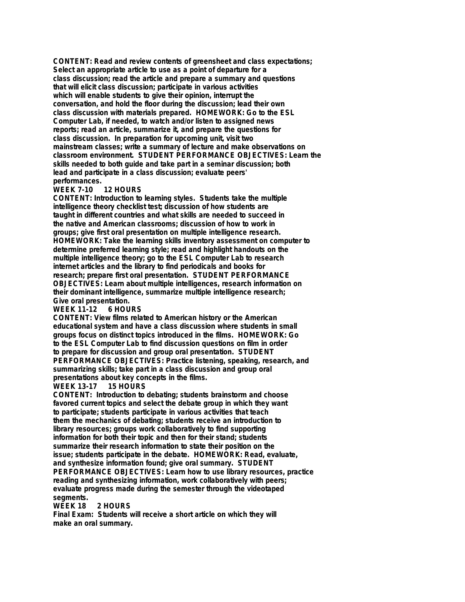**CONTENT: Read and review contents of greensheet and class expectations; Select an appropriate article to use as a point of departure for a class discussion; read the article and prepare a summary and questions that will elicit class discussion; participate in various activities which will enable students to give their opinion, interrupt the conversation, and hold the floor during the discussion; lead their own class discussion with materials prepared. HOMEWORK: Go to the ESL Computer Lab, if needed, to watch and/or listen to assigned news reports; read an article, summarize it, and prepare the questions for class discussion. In preparation for upcoming unit, visit two mainstream classes; write a summary of lecture and make observations on classroom environment. STUDENT PERFORMANCE OBJECTIVES: Learn the skills needed to both guide and take part in a seminar discussion; both lead and participate in a class discussion; evaluate peers' performances.**

### 12 HOURS

**CONTENT: Introduction to learning styles. Students take the multiple intelligence theory checklist test; discussion of how students are taught in different countries and what skills are needed to succeed in the native and American classrooms; discussion of how to work in groups; give first oral presentation on multiple intelligence research. HOMEWORK: Take the learning skills inventory assessment on computer to determine preferred learning style; read and highlight handouts on the multiple intelligence theory; go to the ESL Computer Lab to research internet articles and the library to find periodicals and books for research; prepare first oral presentation. STUDENT PERFORMANCE OBJECTIVES: Learn about multiple intelligences, research information on their dominant intelligence, summarize multiple intelligence research; Give oral presentation.**

#### **WEEK 11-12**

**CONTENT: View films related to American history or the American educational system and have a class discussion where students in small groups focus on distinct topics introduced in the films. HOMEWORK: Go to the ESL Computer Lab to find discussion questions on film in order to prepare for discussion and group oral presentation. STUDENT PERFORMANCE OBJECTIVES: Practice listening, speaking, research, and summarizing skills; take part in a class discussion and group oral presentations about key concepts in the films.**

### **WEEK 13-17**

**CONTENT: Introduction to debating; students brainstorm and choose favored current topics and select the debate group in which they want to participate; students participate in various activities that teach them the mechanics of debating; students receive an introduction to library resources; groups work collaboratively to find supporting information for both their topic and then for their stand; students summarize their research information to state their position on the issue; students participate in the debate. HOMEWORK: Read, evaluate, and synthesize information found; give oral summary. STUDENT PERFORMANCE OBJECTIVES: Learn how to use library resources, practice reading and synthesizing information, work collaboratively with peers; evaluate progress made during the semester through the videotaped segments.**

2 HOURS

**Final Exam: Students will receive a short article on which they will make an oral summary.**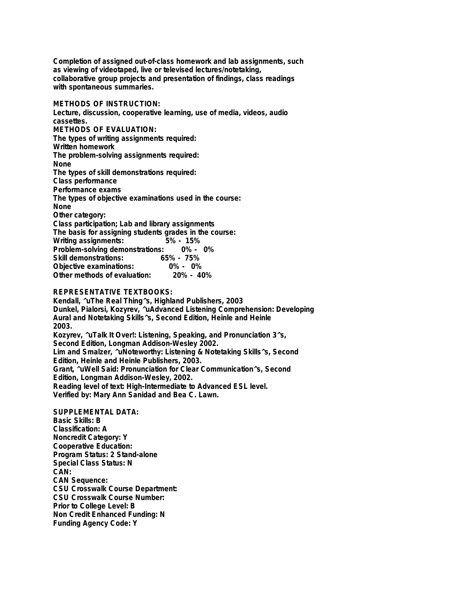**Completion of assigned out-of-class homework and lab assignments, such as viewing of videotaped, live or televised lectures/notetaking, collaborative group projects and presentation of findings, class readings with spontaneous summaries.**

**METHODS OF INSTRUCTION: Lecture, discussion, cooperative learning, use of media, videos, audio cassettes. METHODS OF EVALUATION: The types of writing assignments required: Written homework The problem-solving assignments required: None The types of skill demonstrations required: Class performance Performance exams The types of objective examinations used in the course: None Other category: Class participation; Lab and library assignments The basis for assigning students grades in the course: Writing assignments: 5% - 15% Problem-solving demonstrations: 0% - 0% Skill demonstrations: 65% - 75% Objective examinations: 0% - 0% Other methods of evaluation:** 

**REPRESENTATIVE TEXTBOOKS:**

**Kendall, ^uThe Real Thing^s, Highland Publishers, 2003 Dunkel, Pialorsi, Kozyrev, ^uAdvanced Listening Comprehension: Developing Aural and Notetaking Skills^s, Second Edition, Heinle and Heinle 2003. Kozyrev, ^uTalk It Over!: Listening, Speaking, and Pronunciation 3^s, Second Edition, Longman Addison-Wesley 2002. Lim and Smalzer, ^uNoteworthy: Listening & Notetaking Skills^s, Second Edition, Heinle and Heinle Publishers, 2003. Grant, ^uWell Said: Pronunciation for Clear Communication^s, Second Edition, Longman Addison-Wesley, 2002. Reading level of text: High-Intermediate to Advanced ESL level. Verified by: Mary Ann Sanidad and Bea C. Lawn.**

**SUPPLEMENTAL DATA: Basic Skills: B Classification: A Noncredit Category: Y Cooperative Education: Program Status: 2 Stand-alone Special Class Status: N CAN: CAN Sequence: CSU Crosswalk Course Department: CSU Crosswalk Course Number: Prior to College Level: B Non Credit Enhanced Funding: N Funding Agency Code: Y**